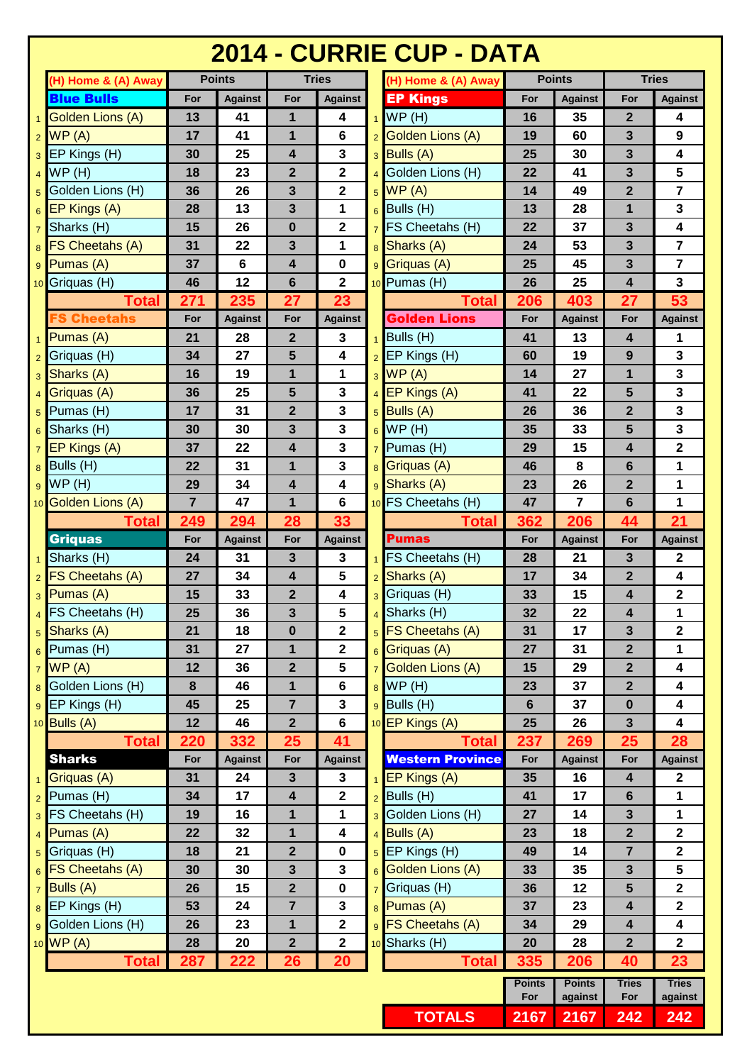## **2014 - CURRIE CUP - DATA**

| <b>Blue Bulls</b><br><b>EP Kings</b><br>For<br>For<br><b>Against</b><br><b>Against</b><br>For<br><b>Against</b><br>For<br>WP(H)<br>Golden Lions (A)<br>13<br>41<br>1<br>16<br>35<br>$\overline{2}$<br>4<br>4<br>$\mathbf{1}$<br>$2$ WP (A)<br>41<br>$\bf 6$<br>Golden Lions (A)<br>1<br>3<br>9<br>17<br>19<br>60<br>$\mathbf{3}$<br>$3$ EP Kings (H)<br>25<br>$\overline{\mathbf{4}}$<br>$3$ Bulls (A)<br>25<br>3<br>4<br>30<br>30<br>$\mathbf{2}$<br>5<br>WP(H)<br>18<br>23<br>$\mathbf{2}$<br>4 Golden Lions (H)<br>22<br>3<br>41<br>$\overline{4}$<br>$\overline{7}$<br>Golden Lions (H)<br>$\mathbf 2$<br>$\overline{2}$<br>36<br>26<br>3<br>$5$ WP (A)<br>14<br>49<br>5<br>$\overline{\mathbf{3}}$<br>$_6$ Bulls (H)<br>$\mathbf{1}$<br>$\overline{\mathbf{3}}$<br>28<br>13<br>1<br>13<br>28<br>$\overline{\mathbf{4}}$<br>15<br>26<br>$\mathbf{2}$<br>$7$ FS Cheetahs (H)<br>3<br>$7$ Sharks (H)<br>0<br>22<br>37<br>$\overline{7}$<br><b>FS Cheetahs (A)</b><br>3<br>22<br>3<br>1<br>8 Sharks (A)<br>53<br>31<br>24<br>8<br>6<br>3<br>$\overline{7}$<br>37<br>$\overline{\mathbf{4}}$<br>$\pmb{0}$<br>Griquas (A)<br>25<br>45<br>$\overline{\mathbf{2}}$<br>10 Pumas (H)<br>3<br>46<br>12<br>6<br>26<br>25<br>$\overline{\mathbf{4}}$<br>53<br>235<br>27<br>206<br>27<br>271<br>23<br>403<br><b>Total</b><br><b>Total</b><br><b>Golden Lions</b><br><b>S Cheetahs</b><br>For<br><b>Against</b><br>For<br><b>Against</b><br>For<br><b>Against</b><br>For<br>Bulls(H)<br>$\overline{2}$<br>Pumas(A)<br>21<br>28<br>3<br>41<br>13<br>4<br>1<br>$\mathbf{1}$<br>$2$ EP Kings (H)<br>27<br>5<br>4<br>19<br>3<br>$2$ Griquas (H)<br>34<br>60<br>9<br>$\mathbf{3}$<br>$3$ WP (A)<br>19<br>1<br>1<br>27<br>1<br>Sharks (A)<br>16<br>14<br>3<br>5<br>$\mathbf{3}$<br>5<br>3<br>25<br>41<br>22<br>36<br>$4$ EP Kings (A)<br>Griquas (A)<br>$\overline{4}$<br>31<br>$\mathbf{2}$<br>3<br>$_5$ Bulls (A)<br>36<br>$\overline{2}$<br>3<br>Pumas (H)<br>17<br>26<br>5<br>$\mathbf{3}$<br>30<br>$\mathbf{3}$<br>$6$ WP (H)<br>5<br>3<br>35<br>33<br>Sharks (H)<br>30<br>6<br>$\mathbf{3}$<br>$\mathbf 2$<br>22<br>15<br>$7$ EP Kings (A)<br>37<br>4<br>$7$ Pumas (H)<br>29<br>4<br>31<br>3<br>$\mathbf{1}$<br>22<br>1<br>8<br>6<br>8 Griquas (A)<br>46<br>Sharks (A)<br>1<br>34<br>$\overline{\mathbf{4}}$<br>4<br>26<br>$\overline{2}$<br>29<br>23<br>$\overline{7}$<br>$\overline{7}$<br>6<br>$\mathbf{1}$<br>47<br>1<br>6<br>10 FS Cheetahs (H)<br>47<br>21<br>294<br>249<br>33<br>362<br>206<br>28<br>44<br><b>Total</b><br>Total<br><b>Griquas</b><br><b>Pumas</b><br>For<br><b>Against</b><br>For<br><b>Against</b><br>For<br><b>Against</b><br>For<br>31<br>3<br>3<br><b>FS Cheetahs (H)</b><br>28<br>3<br>$\mathbf 2$<br>24<br>21<br>$5\phantom{1}$<br>34<br>4<br>$\overline{2}$<br>4<br>27<br>Sharks (A)<br>17<br>34<br>$\mathbf{2}$<br>15<br>33<br>$\mathbf{2}$<br>4<br>3 Griquas (H)<br>15<br>4<br>$_3$ Pumas (A)<br>33<br><b>FS Cheetahs (H)</b><br>3<br>$\overline{\mathbf{5}}$<br>4<br>1<br>25<br>36<br>Sharks (H)<br>22<br>32<br>$\overline{2}$<br>21<br>5 Sharks (A)<br>18<br>5 FS Cheetahs (A)<br>31<br>17<br>3<br>$\mathbf{2}$<br>$\mathbf{0}$<br>$\mathbf{1}$<br>$\overline{2}$<br>$\overline{2}$<br>1<br>31<br>27<br>27<br>31<br>$_6$ Griquas (A)<br>7 Golden Lions (A)<br>12<br>36<br>$\overline{2}$<br>5<br>4<br>15<br>29<br>$\mathbf{2}$<br>$8$ WP (H)<br>8<br>46<br>$\mathbf{1}$<br>$6\phantom{a}$<br>23<br>37<br>$\overline{2}$<br>$\overline{\mathbf{4}}$<br>45<br>$\mathbf 3$<br>$9$ Bulls (H)<br>25<br>$\overline{7}$<br>6<br>$\pmb{0}$<br>4<br>37<br>12<br>$\overline{2}$<br>$6\phantom{a}$<br>10 EP Kings (A)<br>$\mathbf{3}$<br>$\overline{\mathbf{4}}$<br>46<br>25<br>26<br>332<br><b>Total</b><br>220<br>269<br>28<br>25<br>41<br>237<br><b>Total</b><br>25<br><b>Sharks</b><br><b>Western Province</b><br>For<br><b>Against</b><br>For<br><b>Against</b><br>For<br><b>Against</b><br><b>Against</b><br>For<br>$1$ EP Kings (A)<br>35<br>$\overline{2}$<br>31<br>24<br>$\mathbf{3}$<br>16<br>$\overline{\mathbf{4}}$<br>3<br>$\mathbf 2$<br>$2$ Bulls (H)<br>34<br>17<br>41<br>17<br>$6\phantom{1}$<br>$\mathbf 1$<br>4<br>3 FS Cheetahs (H)<br>19<br>3 Golden Lions (H)<br>$\mathbf{3}$<br>16<br>$\mathbf{1}$<br>1<br>27<br>14<br>$\mathbf{1}$<br>$\overline{\mathbf{4}}$<br>$4$ Bulls (A)<br>$\mathbf{2}$<br>$\mathbf 2$<br>22<br>$\mathbf{1}$<br>32<br>23<br>18<br>$5$ Griquas (H)<br>$\mathbf{2}$<br>$5$ EP Kings (H)<br>$\overline{7}$<br>$\mathbf 2$<br>18<br>21<br>$\pmb{0}$<br>49<br>14<br>5<br>$\mathbf{3}$<br>30<br>30<br>$\mathbf{3}$<br>3<br>6 Golden Lions (A)<br>33<br>35<br>$7$ Bulls (A)<br>$\overline{7}$ Griquas (H)<br>5<br>$\mathbf 2$<br>26<br>15<br>$\overline{2}$<br>$\pmb{0}$<br>36<br>12<br>8 Pumas (A)<br>$\mathbf{2}$<br>53<br>24<br>$\overline{7}$<br>3<br>37<br>4<br>23<br>$\mathbf 2$<br>9 FS Cheetahs (A)<br><b>9</b> Golden Lions (H)<br>26<br>23<br>$\mathbf 1$<br>$\overline{\mathbf{4}}$<br>4<br>34<br>29<br>$\overline{2}$<br>$\overline{\mathbf{2}}$<br>$\overline{2}$<br>10 Sharks (H)<br>$\overline{2}$<br>28<br>20<br>20<br>28<br>26<br>222<br>20<br>335<br>40<br>23<br>287<br><b>Total</b><br>206<br><b>Total</b><br><b>Points</b><br><b>Tries</b><br><b>Points</b><br><b>Tries</b> | (H) Home & (A) Away | <b>Points</b> | <b>Tries</b> |  | (H) Home & (A) Away |     | <b>Points</b> |     | <b>Tries</b>   |  |
|-------------------------------------------------------------------------------------------------------------------------------------------------------------------------------------------------------------------------------------------------------------------------------------------------------------------------------------------------------------------------------------------------------------------------------------------------------------------------------------------------------------------------------------------------------------------------------------------------------------------------------------------------------------------------------------------------------------------------------------------------------------------------------------------------------------------------------------------------------------------------------------------------------------------------------------------------------------------------------------------------------------------------------------------------------------------------------------------------------------------------------------------------------------------------------------------------------------------------------------------------------------------------------------------------------------------------------------------------------------------------------------------------------------------------------------------------------------------------------------------------------------------------------------------------------------------------------------------------------------------------------------------------------------------------------------------------------------------------------------------------------------------------------------------------------------------------------------------------------------------------------------------------------------------------------------------------------------------------------------------------------------------------------------------------------------------------------------------------------------------------------------------------------------------------------------------------------------------------------------------------------------------------------------------------------------------------------------------------------------------------------------------------------------------------------------------------------------------------------------------------------------------------------------------------------------------------------------------------------------------------------------------------------------------------------------------------------------------------------------------------------------------------------------------------------------------------------------------------------------------------------------------------------------------------------------------------------------------------------------------------------------------------------------------------------------------------------------------------------------------------------------------------------------------------------------------------------------------------------------------------------------------------------------------------------------------------------------------------------------------------------------------------------------------------------------------------------------------------------------------------------------------------------------------------------------------------------------------------------------------------------------------------------------------------------------------------------------------------------------------------------------------------------------------------------------------------------------------------------------------------------------------------------------------------------------------------------------------------------------------------------------------------------------------------------------------------------------------------------------------------------------------------------------------------------------------------------------------------------------------------------------------------------------------------------------------------------------------------------------------------------------------------------------------------------------------------------------------------------------------------------------------------------------------------------------------------------------------------------------------------------------------------------------------------------------------------------------------------------------------------------------------------------------------------------------------------------------------------------------------------------------------------------------------------------------------------------------------------------------------------------------------------------------------------------------------------------------------------------------------------------------------------------------------------------------------------------------------------------------------------------|---------------------|---------------|--------------|--|---------------------|-----|---------------|-----|----------------|--|
|                                                                                                                                                                                                                                                                                                                                                                                                                                                                                                                                                                                                                                                                                                                                                                                                                                                                                                                                                                                                                                                                                                                                                                                                                                                                                                                                                                                                                                                                                                                                                                                                                                                                                                                                                                                                                                                                                                                                                                                                                                                                                                                                                                                                                                                                                                                                                                                                                                                                                                                                                                                                                                                                                                                                                                                                                                                                                                                                                                                                                                                                                                                                                                                                                                                                                                                                                                                                                                                                                                                                                                                                                                                                                                                                                                                                                                                                                                                                                                                                                                                                                                                                                                                                                                                                                                                                                                                                                                                                                                                                                                                                                                                                                                                                                                                                                                                                                                                                                                                                                                                                                                                                                                                                                                                       |                     |               |              |  |                     |     |               |     | <b>Against</b> |  |
|                                                                                                                                                                                                                                                                                                                                                                                                                                                                                                                                                                                                                                                                                                                                                                                                                                                                                                                                                                                                                                                                                                                                                                                                                                                                                                                                                                                                                                                                                                                                                                                                                                                                                                                                                                                                                                                                                                                                                                                                                                                                                                                                                                                                                                                                                                                                                                                                                                                                                                                                                                                                                                                                                                                                                                                                                                                                                                                                                                                                                                                                                                                                                                                                                                                                                                                                                                                                                                                                                                                                                                                                                                                                                                                                                                                                                                                                                                                                                                                                                                                                                                                                                                                                                                                                                                                                                                                                                                                                                                                                                                                                                                                                                                                                                                                                                                                                                                                                                                                                                                                                                                                                                                                                                                                       |                     |               |              |  |                     |     |               |     |                |  |
|                                                                                                                                                                                                                                                                                                                                                                                                                                                                                                                                                                                                                                                                                                                                                                                                                                                                                                                                                                                                                                                                                                                                                                                                                                                                                                                                                                                                                                                                                                                                                                                                                                                                                                                                                                                                                                                                                                                                                                                                                                                                                                                                                                                                                                                                                                                                                                                                                                                                                                                                                                                                                                                                                                                                                                                                                                                                                                                                                                                                                                                                                                                                                                                                                                                                                                                                                                                                                                                                                                                                                                                                                                                                                                                                                                                                                                                                                                                                                                                                                                                                                                                                                                                                                                                                                                                                                                                                                                                                                                                                                                                                                                                                                                                                                                                                                                                                                                                                                                                                                                                                                                                                                                                                                                                       |                     |               |              |  |                     |     |               |     |                |  |
|                                                                                                                                                                                                                                                                                                                                                                                                                                                                                                                                                                                                                                                                                                                                                                                                                                                                                                                                                                                                                                                                                                                                                                                                                                                                                                                                                                                                                                                                                                                                                                                                                                                                                                                                                                                                                                                                                                                                                                                                                                                                                                                                                                                                                                                                                                                                                                                                                                                                                                                                                                                                                                                                                                                                                                                                                                                                                                                                                                                                                                                                                                                                                                                                                                                                                                                                                                                                                                                                                                                                                                                                                                                                                                                                                                                                                                                                                                                                                                                                                                                                                                                                                                                                                                                                                                                                                                                                                                                                                                                                                                                                                                                                                                                                                                                                                                                                                                                                                                                                                                                                                                                                                                                                                                                       |                     |               |              |  |                     |     |               |     |                |  |
| $_6$ EP Kings (A)<br>$9$ Pumas (A)<br>10 Griquas (H)<br>$8$ Bulls (H)<br>$9$ WP (H)<br>10 Golden Lions (A)                                                                                                                                                                                                                                                                                                                                                                                                                                                                                                                                                                                                                                                                                                                                                                                                                                                                                                                                                                                                                                                                                                                                                                                                                                                                                                                                                                                                                                                                                                                                                                                                                                                                                                                                                                                                                                                                                                                                                                                                                                                                                                                                                                                                                                                                                                                                                                                                                                                                                                                                                                                                                                                                                                                                                                                                                                                                                                                                                                                                                                                                                                                                                                                                                                                                                                                                                                                                                                                                                                                                                                                                                                                                                                                                                                                                                                                                                                                                                                                                                                                                                                                                                                                                                                                                                                                                                                                                                                                                                                                                                                                                                                                                                                                                                                                                                                                                                                                                                                                                                                                                                                                                            |                     |               |              |  |                     |     |               |     |                |  |
|                                                                                                                                                                                                                                                                                                                                                                                                                                                                                                                                                                                                                                                                                                                                                                                                                                                                                                                                                                                                                                                                                                                                                                                                                                                                                                                                                                                                                                                                                                                                                                                                                                                                                                                                                                                                                                                                                                                                                                                                                                                                                                                                                                                                                                                                                                                                                                                                                                                                                                                                                                                                                                                                                                                                                                                                                                                                                                                                                                                                                                                                                                                                                                                                                                                                                                                                                                                                                                                                                                                                                                                                                                                                                                                                                                                                                                                                                                                                                                                                                                                                                                                                                                                                                                                                                                                                                                                                                                                                                                                                                                                                                                                                                                                                                                                                                                                                                                                                                                                                                                                                                                                                                                                                                                                       |                     |               |              |  |                     |     |               |     |                |  |
|                                                                                                                                                                                                                                                                                                                                                                                                                                                                                                                                                                                                                                                                                                                                                                                                                                                                                                                                                                                                                                                                                                                                                                                                                                                                                                                                                                                                                                                                                                                                                                                                                                                                                                                                                                                                                                                                                                                                                                                                                                                                                                                                                                                                                                                                                                                                                                                                                                                                                                                                                                                                                                                                                                                                                                                                                                                                                                                                                                                                                                                                                                                                                                                                                                                                                                                                                                                                                                                                                                                                                                                                                                                                                                                                                                                                                                                                                                                                                                                                                                                                                                                                                                                                                                                                                                                                                                                                                                                                                                                                                                                                                                                                                                                                                                                                                                                                                                                                                                                                                                                                                                                                                                                                                                                       |                     |               |              |  |                     |     |               |     |                |  |
|                                                                                                                                                                                                                                                                                                                                                                                                                                                                                                                                                                                                                                                                                                                                                                                                                                                                                                                                                                                                                                                                                                                                                                                                                                                                                                                                                                                                                                                                                                                                                                                                                                                                                                                                                                                                                                                                                                                                                                                                                                                                                                                                                                                                                                                                                                                                                                                                                                                                                                                                                                                                                                                                                                                                                                                                                                                                                                                                                                                                                                                                                                                                                                                                                                                                                                                                                                                                                                                                                                                                                                                                                                                                                                                                                                                                                                                                                                                                                                                                                                                                                                                                                                                                                                                                                                                                                                                                                                                                                                                                                                                                                                                                                                                                                                                                                                                                                                                                                                                                                                                                                                                                                                                                                                                       |                     |               |              |  |                     |     |               |     |                |  |
|                                                                                                                                                                                                                                                                                                                                                                                                                                                                                                                                                                                                                                                                                                                                                                                                                                                                                                                                                                                                                                                                                                                                                                                                                                                                                                                                                                                                                                                                                                                                                                                                                                                                                                                                                                                                                                                                                                                                                                                                                                                                                                                                                                                                                                                                                                                                                                                                                                                                                                                                                                                                                                                                                                                                                                                                                                                                                                                                                                                                                                                                                                                                                                                                                                                                                                                                                                                                                                                                                                                                                                                                                                                                                                                                                                                                                                                                                                                                                                                                                                                                                                                                                                                                                                                                                                                                                                                                                                                                                                                                                                                                                                                                                                                                                                                                                                                                                                                                                                                                                                                                                                                                                                                                                                                       |                     |               |              |  |                     |     |               |     |                |  |
|                                                                                                                                                                                                                                                                                                                                                                                                                                                                                                                                                                                                                                                                                                                                                                                                                                                                                                                                                                                                                                                                                                                                                                                                                                                                                                                                                                                                                                                                                                                                                                                                                                                                                                                                                                                                                                                                                                                                                                                                                                                                                                                                                                                                                                                                                                                                                                                                                                                                                                                                                                                                                                                                                                                                                                                                                                                                                                                                                                                                                                                                                                                                                                                                                                                                                                                                                                                                                                                                                                                                                                                                                                                                                                                                                                                                                                                                                                                                                                                                                                                                                                                                                                                                                                                                                                                                                                                                                                                                                                                                                                                                                                                                                                                                                                                                                                                                                                                                                                                                                                                                                                                                                                                                                                                       |                     |               |              |  |                     |     |               |     |                |  |
|                                                                                                                                                                                                                                                                                                                                                                                                                                                                                                                                                                                                                                                                                                                                                                                                                                                                                                                                                                                                                                                                                                                                                                                                                                                                                                                                                                                                                                                                                                                                                                                                                                                                                                                                                                                                                                                                                                                                                                                                                                                                                                                                                                                                                                                                                                                                                                                                                                                                                                                                                                                                                                                                                                                                                                                                                                                                                                                                                                                                                                                                                                                                                                                                                                                                                                                                                                                                                                                                                                                                                                                                                                                                                                                                                                                                                                                                                                                                                                                                                                                                                                                                                                                                                                                                                                                                                                                                                                                                                                                                                                                                                                                                                                                                                                                                                                                                                                                                                                                                                                                                                                                                                                                                                                                       |                     |               |              |  |                     |     |               |     |                |  |
|                                                                                                                                                                                                                                                                                                                                                                                                                                                                                                                                                                                                                                                                                                                                                                                                                                                                                                                                                                                                                                                                                                                                                                                                                                                                                                                                                                                                                                                                                                                                                                                                                                                                                                                                                                                                                                                                                                                                                                                                                                                                                                                                                                                                                                                                                                                                                                                                                                                                                                                                                                                                                                                                                                                                                                                                                                                                                                                                                                                                                                                                                                                                                                                                                                                                                                                                                                                                                                                                                                                                                                                                                                                                                                                                                                                                                                                                                                                                                                                                                                                                                                                                                                                                                                                                                                                                                                                                                                                                                                                                                                                                                                                                                                                                                                                                                                                                                                                                                                                                                                                                                                                                                                                                                                                       |                     |               |              |  |                     |     |               |     |                |  |
|                                                                                                                                                                                                                                                                                                                                                                                                                                                                                                                                                                                                                                                                                                                                                                                                                                                                                                                                                                                                                                                                                                                                                                                                                                                                                                                                                                                                                                                                                                                                                                                                                                                                                                                                                                                                                                                                                                                                                                                                                                                                                                                                                                                                                                                                                                                                                                                                                                                                                                                                                                                                                                                                                                                                                                                                                                                                                                                                                                                                                                                                                                                                                                                                                                                                                                                                                                                                                                                                                                                                                                                                                                                                                                                                                                                                                                                                                                                                                                                                                                                                                                                                                                                                                                                                                                                                                                                                                                                                                                                                                                                                                                                                                                                                                                                                                                                                                                                                                                                                                                                                                                                                                                                                                                                       |                     |               |              |  |                     |     |               |     | <b>Against</b> |  |
|                                                                                                                                                                                                                                                                                                                                                                                                                                                                                                                                                                                                                                                                                                                                                                                                                                                                                                                                                                                                                                                                                                                                                                                                                                                                                                                                                                                                                                                                                                                                                                                                                                                                                                                                                                                                                                                                                                                                                                                                                                                                                                                                                                                                                                                                                                                                                                                                                                                                                                                                                                                                                                                                                                                                                                                                                                                                                                                                                                                                                                                                                                                                                                                                                                                                                                                                                                                                                                                                                                                                                                                                                                                                                                                                                                                                                                                                                                                                                                                                                                                                                                                                                                                                                                                                                                                                                                                                                                                                                                                                                                                                                                                                                                                                                                                                                                                                                                                                                                                                                                                                                                                                                                                                                                                       |                     |               |              |  |                     |     |               |     |                |  |
|                                                                                                                                                                                                                                                                                                                                                                                                                                                                                                                                                                                                                                                                                                                                                                                                                                                                                                                                                                                                                                                                                                                                                                                                                                                                                                                                                                                                                                                                                                                                                                                                                                                                                                                                                                                                                                                                                                                                                                                                                                                                                                                                                                                                                                                                                                                                                                                                                                                                                                                                                                                                                                                                                                                                                                                                                                                                                                                                                                                                                                                                                                                                                                                                                                                                                                                                                                                                                                                                                                                                                                                                                                                                                                                                                                                                                                                                                                                                                                                                                                                                                                                                                                                                                                                                                                                                                                                                                                                                                                                                                                                                                                                                                                                                                                                                                                                                                                                                                                                                                                                                                                                                                                                                                                                       |                     |               |              |  |                     |     |               |     |                |  |
|                                                                                                                                                                                                                                                                                                                                                                                                                                                                                                                                                                                                                                                                                                                                                                                                                                                                                                                                                                                                                                                                                                                                                                                                                                                                                                                                                                                                                                                                                                                                                                                                                                                                                                                                                                                                                                                                                                                                                                                                                                                                                                                                                                                                                                                                                                                                                                                                                                                                                                                                                                                                                                                                                                                                                                                                                                                                                                                                                                                                                                                                                                                                                                                                                                                                                                                                                                                                                                                                                                                                                                                                                                                                                                                                                                                                                                                                                                                                                                                                                                                                                                                                                                                                                                                                                                                                                                                                                                                                                                                                                                                                                                                                                                                                                                                                                                                                                                                                                                                                                                                                                                                                                                                                                                                       |                     |               |              |  |                     |     |               |     |                |  |
|                                                                                                                                                                                                                                                                                                                                                                                                                                                                                                                                                                                                                                                                                                                                                                                                                                                                                                                                                                                                                                                                                                                                                                                                                                                                                                                                                                                                                                                                                                                                                                                                                                                                                                                                                                                                                                                                                                                                                                                                                                                                                                                                                                                                                                                                                                                                                                                                                                                                                                                                                                                                                                                                                                                                                                                                                                                                                                                                                                                                                                                                                                                                                                                                                                                                                                                                                                                                                                                                                                                                                                                                                                                                                                                                                                                                                                                                                                                                                                                                                                                                                                                                                                                                                                                                                                                                                                                                                                                                                                                                                                                                                                                                                                                                                                                                                                                                                                                                                                                                                                                                                                                                                                                                                                                       |                     |               |              |  |                     |     |               |     |                |  |
|                                                                                                                                                                                                                                                                                                                                                                                                                                                                                                                                                                                                                                                                                                                                                                                                                                                                                                                                                                                                                                                                                                                                                                                                                                                                                                                                                                                                                                                                                                                                                                                                                                                                                                                                                                                                                                                                                                                                                                                                                                                                                                                                                                                                                                                                                                                                                                                                                                                                                                                                                                                                                                                                                                                                                                                                                                                                                                                                                                                                                                                                                                                                                                                                                                                                                                                                                                                                                                                                                                                                                                                                                                                                                                                                                                                                                                                                                                                                                                                                                                                                                                                                                                                                                                                                                                                                                                                                                                                                                                                                                                                                                                                                                                                                                                                                                                                                                                                                                                                                                                                                                                                                                                                                                                                       |                     |               |              |  |                     |     |               |     |                |  |
|                                                                                                                                                                                                                                                                                                                                                                                                                                                                                                                                                                                                                                                                                                                                                                                                                                                                                                                                                                                                                                                                                                                                                                                                                                                                                                                                                                                                                                                                                                                                                                                                                                                                                                                                                                                                                                                                                                                                                                                                                                                                                                                                                                                                                                                                                                                                                                                                                                                                                                                                                                                                                                                                                                                                                                                                                                                                                                                                                                                                                                                                                                                                                                                                                                                                                                                                                                                                                                                                                                                                                                                                                                                                                                                                                                                                                                                                                                                                                                                                                                                                                                                                                                                                                                                                                                                                                                                                                                                                                                                                                                                                                                                                                                                                                                                                                                                                                                                                                                                                                                                                                                                                                                                                                                                       |                     |               |              |  |                     |     |               |     |                |  |
|                                                                                                                                                                                                                                                                                                                                                                                                                                                                                                                                                                                                                                                                                                                                                                                                                                                                                                                                                                                                                                                                                                                                                                                                                                                                                                                                                                                                                                                                                                                                                                                                                                                                                                                                                                                                                                                                                                                                                                                                                                                                                                                                                                                                                                                                                                                                                                                                                                                                                                                                                                                                                                                                                                                                                                                                                                                                                                                                                                                                                                                                                                                                                                                                                                                                                                                                                                                                                                                                                                                                                                                                                                                                                                                                                                                                                                                                                                                                                                                                                                                                                                                                                                                                                                                                                                                                                                                                                                                                                                                                                                                                                                                                                                                                                                                                                                                                                                                                                                                                                                                                                                                                                                                                                                                       |                     |               |              |  |                     |     |               |     |                |  |
|                                                                                                                                                                                                                                                                                                                                                                                                                                                                                                                                                                                                                                                                                                                                                                                                                                                                                                                                                                                                                                                                                                                                                                                                                                                                                                                                                                                                                                                                                                                                                                                                                                                                                                                                                                                                                                                                                                                                                                                                                                                                                                                                                                                                                                                                                                                                                                                                                                                                                                                                                                                                                                                                                                                                                                                                                                                                                                                                                                                                                                                                                                                                                                                                                                                                                                                                                                                                                                                                                                                                                                                                                                                                                                                                                                                                                                                                                                                                                                                                                                                                                                                                                                                                                                                                                                                                                                                                                                                                                                                                                                                                                                                                                                                                                                                                                                                                                                                                                                                                                                                                                                                                                                                                                                                       |                     |               |              |  |                     |     |               |     |                |  |
| $\vert$ Sharks (H)<br>2 FS Cheetahs (A)<br>$_6$ Pumas (H)<br>$7$ WP (A)<br>8 Golden Lions (H)<br>$\frac{1}{9}$ EP Kings (H)<br>$10$ Bulls $(A)$<br>1 Griquas (A)<br>$2$ Pumas (H)<br>4 Pumas (A)<br>6 FS Cheetahs (A)<br>$8$ EP Kings (H)<br>10 WP (A)                                                                                                                                                                                                                                                                                                                                                                                                                                                                                                                                                                                                                                                                                                                                                                                                                                                                                                                                                                                                                                                                                                                                                                                                                                                                                                                                                                                                                                                                                                                                                                                                                                                                                                                                                                                                                                                                                                                                                                                                                                                                                                                                                                                                                                                                                                                                                                                                                                                                                                                                                                                                                                                                                                                                                                                                                                                                                                                                                                                                                                                                                                                                                                                                                                                                                                                                                                                                                                                                                                                                                                                                                                                                                                                                                                                                                                                                                                                                                                                                                                                                                                                                                                                                                                                                                                                                                                                                                                                                                                                                                                                                                                                                                                                                                                                                                                                                                                                                                                                                |                     |               |              |  |                     |     |               |     |                |  |
|                                                                                                                                                                                                                                                                                                                                                                                                                                                                                                                                                                                                                                                                                                                                                                                                                                                                                                                                                                                                                                                                                                                                                                                                                                                                                                                                                                                                                                                                                                                                                                                                                                                                                                                                                                                                                                                                                                                                                                                                                                                                                                                                                                                                                                                                                                                                                                                                                                                                                                                                                                                                                                                                                                                                                                                                                                                                                                                                                                                                                                                                                                                                                                                                                                                                                                                                                                                                                                                                                                                                                                                                                                                                                                                                                                                                                                                                                                                                                                                                                                                                                                                                                                                                                                                                                                                                                                                                                                                                                                                                                                                                                                                                                                                                                                                                                                                                                                                                                                                                                                                                                                                                                                                                                                                       |                     |               |              |  |                     |     |               |     |                |  |
|                                                                                                                                                                                                                                                                                                                                                                                                                                                                                                                                                                                                                                                                                                                                                                                                                                                                                                                                                                                                                                                                                                                                                                                                                                                                                                                                                                                                                                                                                                                                                                                                                                                                                                                                                                                                                                                                                                                                                                                                                                                                                                                                                                                                                                                                                                                                                                                                                                                                                                                                                                                                                                                                                                                                                                                                                                                                                                                                                                                                                                                                                                                                                                                                                                                                                                                                                                                                                                                                                                                                                                                                                                                                                                                                                                                                                                                                                                                                                                                                                                                                                                                                                                                                                                                                                                                                                                                                                                                                                                                                                                                                                                                                                                                                                                                                                                                                                                                                                                                                                                                                                                                                                                                                                                                       |                     |               |              |  |                     |     |               |     |                |  |
|                                                                                                                                                                                                                                                                                                                                                                                                                                                                                                                                                                                                                                                                                                                                                                                                                                                                                                                                                                                                                                                                                                                                                                                                                                                                                                                                                                                                                                                                                                                                                                                                                                                                                                                                                                                                                                                                                                                                                                                                                                                                                                                                                                                                                                                                                                                                                                                                                                                                                                                                                                                                                                                                                                                                                                                                                                                                                                                                                                                                                                                                                                                                                                                                                                                                                                                                                                                                                                                                                                                                                                                                                                                                                                                                                                                                                                                                                                                                                                                                                                                                                                                                                                                                                                                                                                                                                                                                                                                                                                                                                                                                                                                                                                                                                                                                                                                                                                                                                                                                                                                                                                                                                                                                                                                       |                     |               |              |  |                     |     |               |     | <b>Against</b> |  |
|                                                                                                                                                                                                                                                                                                                                                                                                                                                                                                                                                                                                                                                                                                                                                                                                                                                                                                                                                                                                                                                                                                                                                                                                                                                                                                                                                                                                                                                                                                                                                                                                                                                                                                                                                                                                                                                                                                                                                                                                                                                                                                                                                                                                                                                                                                                                                                                                                                                                                                                                                                                                                                                                                                                                                                                                                                                                                                                                                                                                                                                                                                                                                                                                                                                                                                                                                                                                                                                                                                                                                                                                                                                                                                                                                                                                                                                                                                                                                                                                                                                                                                                                                                                                                                                                                                                                                                                                                                                                                                                                                                                                                                                                                                                                                                                                                                                                                                                                                                                                                                                                                                                                                                                                                                                       |                     |               |              |  |                     |     |               |     |                |  |
|                                                                                                                                                                                                                                                                                                                                                                                                                                                                                                                                                                                                                                                                                                                                                                                                                                                                                                                                                                                                                                                                                                                                                                                                                                                                                                                                                                                                                                                                                                                                                                                                                                                                                                                                                                                                                                                                                                                                                                                                                                                                                                                                                                                                                                                                                                                                                                                                                                                                                                                                                                                                                                                                                                                                                                                                                                                                                                                                                                                                                                                                                                                                                                                                                                                                                                                                                                                                                                                                                                                                                                                                                                                                                                                                                                                                                                                                                                                                                                                                                                                                                                                                                                                                                                                                                                                                                                                                                                                                                                                                                                                                                                                                                                                                                                                                                                                                                                                                                                                                                                                                                                                                                                                                                                                       |                     |               |              |  |                     |     |               |     |                |  |
|                                                                                                                                                                                                                                                                                                                                                                                                                                                                                                                                                                                                                                                                                                                                                                                                                                                                                                                                                                                                                                                                                                                                                                                                                                                                                                                                                                                                                                                                                                                                                                                                                                                                                                                                                                                                                                                                                                                                                                                                                                                                                                                                                                                                                                                                                                                                                                                                                                                                                                                                                                                                                                                                                                                                                                                                                                                                                                                                                                                                                                                                                                                                                                                                                                                                                                                                                                                                                                                                                                                                                                                                                                                                                                                                                                                                                                                                                                                                                                                                                                                                                                                                                                                                                                                                                                                                                                                                                                                                                                                                                                                                                                                                                                                                                                                                                                                                                                                                                                                                                                                                                                                                                                                                                                                       |                     |               |              |  |                     |     |               |     |                |  |
|                                                                                                                                                                                                                                                                                                                                                                                                                                                                                                                                                                                                                                                                                                                                                                                                                                                                                                                                                                                                                                                                                                                                                                                                                                                                                                                                                                                                                                                                                                                                                                                                                                                                                                                                                                                                                                                                                                                                                                                                                                                                                                                                                                                                                                                                                                                                                                                                                                                                                                                                                                                                                                                                                                                                                                                                                                                                                                                                                                                                                                                                                                                                                                                                                                                                                                                                                                                                                                                                                                                                                                                                                                                                                                                                                                                                                                                                                                                                                                                                                                                                                                                                                                                                                                                                                                                                                                                                                                                                                                                                                                                                                                                                                                                                                                                                                                                                                                                                                                                                                                                                                                                                                                                                                                                       |                     |               |              |  |                     |     |               |     |                |  |
|                                                                                                                                                                                                                                                                                                                                                                                                                                                                                                                                                                                                                                                                                                                                                                                                                                                                                                                                                                                                                                                                                                                                                                                                                                                                                                                                                                                                                                                                                                                                                                                                                                                                                                                                                                                                                                                                                                                                                                                                                                                                                                                                                                                                                                                                                                                                                                                                                                                                                                                                                                                                                                                                                                                                                                                                                                                                                                                                                                                                                                                                                                                                                                                                                                                                                                                                                                                                                                                                                                                                                                                                                                                                                                                                                                                                                                                                                                                                                                                                                                                                                                                                                                                                                                                                                                                                                                                                                                                                                                                                                                                                                                                                                                                                                                                                                                                                                                                                                                                                                                                                                                                                                                                                                                                       |                     |               |              |  |                     |     |               |     |                |  |
|                                                                                                                                                                                                                                                                                                                                                                                                                                                                                                                                                                                                                                                                                                                                                                                                                                                                                                                                                                                                                                                                                                                                                                                                                                                                                                                                                                                                                                                                                                                                                                                                                                                                                                                                                                                                                                                                                                                                                                                                                                                                                                                                                                                                                                                                                                                                                                                                                                                                                                                                                                                                                                                                                                                                                                                                                                                                                                                                                                                                                                                                                                                                                                                                                                                                                                                                                                                                                                                                                                                                                                                                                                                                                                                                                                                                                                                                                                                                                                                                                                                                                                                                                                                                                                                                                                                                                                                                                                                                                                                                                                                                                                                                                                                                                                                                                                                                                                                                                                                                                                                                                                                                                                                                                                                       |                     |               |              |  |                     |     |               |     |                |  |
|                                                                                                                                                                                                                                                                                                                                                                                                                                                                                                                                                                                                                                                                                                                                                                                                                                                                                                                                                                                                                                                                                                                                                                                                                                                                                                                                                                                                                                                                                                                                                                                                                                                                                                                                                                                                                                                                                                                                                                                                                                                                                                                                                                                                                                                                                                                                                                                                                                                                                                                                                                                                                                                                                                                                                                                                                                                                                                                                                                                                                                                                                                                                                                                                                                                                                                                                                                                                                                                                                                                                                                                                                                                                                                                                                                                                                                                                                                                                                                                                                                                                                                                                                                                                                                                                                                                                                                                                                                                                                                                                                                                                                                                                                                                                                                                                                                                                                                                                                                                                                                                                                                                                                                                                                                                       |                     |               |              |  |                     |     |               |     |                |  |
|                                                                                                                                                                                                                                                                                                                                                                                                                                                                                                                                                                                                                                                                                                                                                                                                                                                                                                                                                                                                                                                                                                                                                                                                                                                                                                                                                                                                                                                                                                                                                                                                                                                                                                                                                                                                                                                                                                                                                                                                                                                                                                                                                                                                                                                                                                                                                                                                                                                                                                                                                                                                                                                                                                                                                                                                                                                                                                                                                                                                                                                                                                                                                                                                                                                                                                                                                                                                                                                                                                                                                                                                                                                                                                                                                                                                                                                                                                                                                                                                                                                                                                                                                                                                                                                                                                                                                                                                                                                                                                                                                                                                                                                                                                                                                                                                                                                                                                                                                                                                                                                                                                                                                                                                                                                       |                     |               |              |  |                     |     |               |     |                |  |
|                                                                                                                                                                                                                                                                                                                                                                                                                                                                                                                                                                                                                                                                                                                                                                                                                                                                                                                                                                                                                                                                                                                                                                                                                                                                                                                                                                                                                                                                                                                                                                                                                                                                                                                                                                                                                                                                                                                                                                                                                                                                                                                                                                                                                                                                                                                                                                                                                                                                                                                                                                                                                                                                                                                                                                                                                                                                                                                                                                                                                                                                                                                                                                                                                                                                                                                                                                                                                                                                                                                                                                                                                                                                                                                                                                                                                                                                                                                                                                                                                                                                                                                                                                                                                                                                                                                                                                                                                                                                                                                                                                                                                                                                                                                                                                                                                                                                                                                                                                                                                                                                                                                                                                                                                                                       |                     |               |              |  |                     |     |               |     |                |  |
|                                                                                                                                                                                                                                                                                                                                                                                                                                                                                                                                                                                                                                                                                                                                                                                                                                                                                                                                                                                                                                                                                                                                                                                                                                                                                                                                                                                                                                                                                                                                                                                                                                                                                                                                                                                                                                                                                                                                                                                                                                                                                                                                                                                                                                                                                                                                                                                                                                                                                                                                                                                                                                                                                                                                                                                                                                                                                                                                                                                                                                                                                                                                                                                                                                                                                                                                                                                                                                                                                                                                                                                                                                                                                                                                                                                                                                                                                                                                                                                                                                                                                                                                                                                                                                                                                                                                                                                                                                                                                                                                                                                                                                                                                                                                                                                                                                                                                                                                                                                                                                                                                                                                                                                                                                                       |                     |               |              |  |                     |     |               |     |                |  |
|                                                                                                                                                                                                                                                                                                                                                                                                                                                                                                                                                                                                                                                                                                                                                                                                                                                                                                                                                                                                                                                                                                                                                                                                                                                                                                                                                                                                                                                                                                                                                                                                                                                                                                                                                                                                                                                                                                                                                                                                                                                                                                                                                                                                                                                                                                                                                                                                                                                                                                                                                                                                                                                                                                                                                                                                                                                                                                                                                                                                                                                                                                                                                                                                                                                                                                                                                                                                                                                                                                                                                                                                                                                                                                                                                                                                                                                                                                                                                                                                                                                                                                                                                                                                                                                                                                                                                                                                                                                                                                                                                                                                                                                                                                                                                                                                                                                                                                                                                                                                                                                                                                                                                                                                                                                       |                     |               |              |  |                     |     |               |     |                |  |
|                                                                                                                                                                                                                                                                                                                                                                                                                                                                                                                                                                                                                                                                                                                                                                                                                                                                                                                                                                                                                                                                                                                                                                                                                                                                                                                                                                                                                                                                                                                                                                                                                                                                                                                                                                                                                                                                                                                                                                                                                                                                                                                                                                                                                                                                                                                                                                                                                                                                                                                                                                                                                                                                                                                                                                                                                                                                                                                                                                                                                                                                                                                                                                                                                                                                                                                                                                                                                                                                                                                                                                                                                                                                                                                                                                                                                                                                                                                                                                                                                                                                                                                                                                                                                                                                                                                                                                                                                                                                                                                                                                                                                                                                                                                                                                                                                                                                                                                                                                                                                                                                                                                                                                                                                                                       |                     |               |              |  |                     |     |               |     |                |  |
|                                                                                                                                                                                                                                                                                                                                                                                                                                                                                                                                                                                                                                                                                                                                                                                                                                                                                                                                                                                                                                                                                                                                                                                                                                                                                                                                                                                                                                                                                                                                                                                                                                                                                                                                                                                                                                                                                                                                                                                                                                                                                                                                                                                                                                                                                                                                                                                                                                                                                                                                                                                                                                                                                                                                                                                                                                                                                                                                                                                                                                                                                                                                                                                                                                                                                                                                                                                                                                                                                                                                                                                                                                                                                                                                                                                                                                                                                                                                                                                                                                                                                                                                                                                                                                                                                                                                                                                                                                                                                                                                                                                                                                                                                                                                                                                                                                                                                                                                                                                                                                                                                                                                                                                                                                                       |                     |               |              |  |                     |     |               |     |                |  |
|                                                                                                                                                                                                                                                                                                                                                                                                                                                                                                                                                                                                                                                                                                                                                                                                                                                                                                                                                                                                                                                                                                                                                                                                                                                                                                                                                                                                                                                                                                                                                                                                                                                                                                                                                                                                                                                                                                                                                                                                                                                                                                                                                                                                                                                                                                                                                                                                                                                                                                                                                                                                                                                                                                                                                                                                                                                                                                                                                                                                                                                                                                                                                                                                                                                                                                                                                                                                                                                                                                                                                                                                                                                                                                                                                                                                                                                                                                                                                                                                                                                                                                                                                                                                                                                                                                                                                                                                                                                                                                                                                                                                                                                                                                                                                                                                                                                                                                                                                                                                                                                                                                                                                                                                                                                       |                     |               |              |  |                     |     |               |     |                |  |
|                                                                                                                                                                                                                                                                                                                                                                                                                                                                                                                                                                                                                                                                                                                                                                                                                                                                                                                                                                                                                                                                                                                                                                                                                                                                                                                                                                                                                                                                                                                                                                                                                                                                                                                                                                                                                                                                                                                                                                                                                                                                                                                                                                                                                                                                                                                                                                                                                                                                                                                                                                                                                                                                                                                                                                                                                                                                                                                                                                                                                                                                                                                                                                                                                                                                                                                                                                                                                                                                                                                                                                                                                                                                                                                                                                                                                                                                                                                                                                                                                                                                                                                                                                                                                                                                                                                                                                                                                                                                                                                                                                                                                                                                                                                                                                                                                                                                                                                                                                                                                                                                                                                                                                                                                                                       |                     |               |              |  |                     |     |               |     |                |  |
|                                                                                                                                                                                                                                                                                                                                                                                                                                                                                                                                                                                                                                                                                                                                                                                                                                                                                                                                                                                                                                                                                                                                                                                                                                                                                                                                                                                                                                                                                                                                                                                                                                                                                                                                                                                                                                                                                                                                                                                                                                                                                                                                                                                                                                                                                                                                                                                                                                                                                                                                                                                                                                                                                                                                                                                                                                                                                                                                                                                                                                                                                                                                                                                                                                                                                                                                                                                                                                                                                                                                                                                                                                                                                                                                                                                                                                                                                                                                                                                                                                                                                                                                                                                                                                                                                                                                                                                                                                                                                                                                                                                                                                                                                                                                                                                                                                                                                                                                                                                                                                                                                                                                                                                                                                                       |                     |               |              |  |                     |     |               |     |                |  |
|                                                                                                                                                                                                                                                                                                                                                                                                                                                                                                                                                                                                                                                                                                                                                                                                                                                                                                                                                                                                                                                                                                                                                                                                                                                                                                                                                                                                                                                                                                                                                                                                                                                                                                                                                                                                                                                                                                                                                                                                                                                                                                                                                                                                                                                                                                                                                                                                                                                                                                                                                                                                                                                                                                                                                                                                                                                                                                                                                                                                                                                                                                                                                                                                                                                                                                                                                                                                                                                                                                                                                                                                                                                                                                                                                                                                                                                                                                                                                                                                                                                                                                                                                                                                                                                                                                                                                                                                                                                                                                                                                                                                                                                                                                                                                                                                                                                                                                                                                                                                                                                                                                                                                                                                                                                       |                     |               |              |  |                     |     |               |     |                |  |
|                                                                                                                                                                                                                                                                                                                                                                                                                                                                                                                                                                                                                                                                                                                                                                                                                                                                                                                                                                                                                                                                                                                                                                                                                                                                                                                                                                                                                                                                                                                                                                                                                                                                                                                                                                                                                                                                                                                                                                                                                                                                                                                                                                                                                                                                                                                                                                                                                                                                                                                                                                                                                                                                                                                                                                                                                                                                                                                                                                                                                                                                                                                                                                                                                                                                                                                                                                                                                                                                                                                                                                                                                                                                                                                                                                                                                                                                                                                                                                                                                                                                                                                                                                                                                                                                                                                                                                                                                                                                                                                                                                                                                                                                                                                                                                                                                                                                                                                                                                                                                                                                                                                                                                                                                                                       |                     |               |              |  |                     |     |               |     |                |  |
|                                                                                                                                                                                                                                                                                                                                                                                                                                                                                                                                                                                                                                                                                                                                                                                                                                                                                                                                                                                                                                                                                                                                                                                                                                                                                                                                                                                                                                                                                                                                                                                                                                                                                                                                                                                                                                                                                                                                                                                                                                                                                                                                                                                                                                                                                                                                                                                                                                                                                                                                                                                                                                                                                                                                                                                                                                                                                                                                                                                                                                                                                                                                                                                                                                                                                                                                                                                                                                                                                                                                                                                                                                                                                                                                                                                                                                                                                                                                                                                                                                                                                                                                                                                                                                                                                                                                                                                                                                                                                                                                                                                                                                                                                                                                                                                                                                                                                                                                                                                                                                                                                                                                                                                                                                                       |                     |               |              |  |                     |     |               |     |                |  |
|                                                                                                                                                                                                                                                                                                                                                                                                                                                                                                                                                                                                                                                                                                                                                                                                                                                                                                                                                                                                                                                                                                                                                                                                                                                                                                                                                                                                                                                                                                                                                                                                                                                                                                                                                                                                                                                                                                                                                                                                                                                                                                                                                                                                                                                                                                                                                                                                                                                                                                                                                                                                                                                                                                                                                                                                                                                                                                                                                                                                                                                                                                                                                                                                                                                                                                                                                                                                                                                                                                                                                                                                                                                                                                                                                                                                                                                                                                                                                                                                                                                                                                                                                                                                                                                                                                                                                                                                                                                                                                                                                                                                                                                                                                                                                                                                                                                                                                                                                                                                                                                                                                                                                                                                                                                       |                     |               |              |  |                     |     |               |     |                |  |
|                                                                                                                                                                                                                                                                                                                                                                                                                                                                                                                                                                                                                                                                                                                                                                                                                                                                                                                                                                                                                                                                                                                                                                                                                                                                                                                                                                                                                                                                                                                                                                                                                                                                                                                                                                                                                                                                                                                                                                                                                                                                                                                                                                                                                                                                                                                                                                                                                                                                                                                                                                                                                                                                                                                                                                                                                                                                                                                                                                                                                                                                                                                                                                                                                                                                                                                                                                                                                                                                                                                                                                                                                                                                                                                                                                                                                                                                                                                                                                                                                                                                                                                                                                                                                                                                                                                                                                                                                                                                                                                                                                                                                                                                                                                                                                                                                                                                                                                                                                                                                                                                                                                                                                                                                                                       |                     |               |              |  |                     |     |               |     |                |  |
|                                                                                                                                                                                                                                                                                                                                                                                                                                                                                                                                                                                                                                                                                                                                                                                                                                                                                                                                                                                                                                                                                                                                                                                                                                                                                                                                                                                                                                                                                                                                                                                                                                                                                                                                                                                                                                                                                                                                                                                                                                                                                                                                                                                                                                                                                                                                                                                                                                                                                                                                                                                                                                                                                                                                                                                                                                                                                                                                                                                                                                                                                                                                                                                                                                                                                                                                                                                                                                                                                                                                                                                                                                                                                                                                                                                                                                                                                                                                                                                                                                                                                                                                                                                                                                                                                                                                                                                                                                                                                                                                                                                                                                                                                                                                                                                                                                                                                                                                                                                                                                                                                                                                                                                                                                                       |                     |               |              |  |                     |     |               |     |                |  |
|                                                                                                                                                                                                                                                                                                                                                                                                                                                                                                                                                                                                                                                                                                                                                                                                                                                                                                                                                                                                                                                                                                                                                                                                                                                                                                                                                                                                                                                                                                                                                                                                                                                                                                                                                                                                                                                                                                                                                                                                                                                                                                                                                                                                                                                                                                                                                                                                                                                                                                                                                                                                                                                                                                                                                                                                                                                                                                                                                                                                                                                                                                                                                                                                                                                                                                                                                                                                                                                                                                                                                                                                                                                                                                                                                                                                                                                                                                                                                                                                                                                                                                                                                                                                                                                                                                                                                                                                                                                                                                                                                                                                                                                                                                                                                                                                                                                                                                                                                                                                                                                                                                                                                                                                                                                       |                     |               |              |  |                     |     |               |     |                |  |
|                                                                                                                                                                                                                                                                                                                                                                                                                                                                                                                                                                                                                                                                                                                                                                                                                                                                                                                                                                                                                                                                                                                                                                                                                                                                                                                                                                                                                                                                                                                                                                                                                                                                                                                                                                                                                                                                                                                                                                                                                                                                                                                                                                                                                                                                                                                                                                                                                                                                                                                                                                                                                                                                                                                                                                                                                                                                                                                                                                                                                                                                                                                                                                                                                                                                                                                                                                                                                                                                                                                                                                                                                                                                                                                                                                                                                                                                                                                                                                                                                                                                                                                                                                                                                                                                                                                                                                                                                                                                                                                                                                                                                                                                                                                                                                                                                                                                                                                                                                                                                                                                                                                                                                                                                                                       |                     |               |              |  |                     | For | against       | For | against        |  |

**TOTALS 2167 2167 242 242**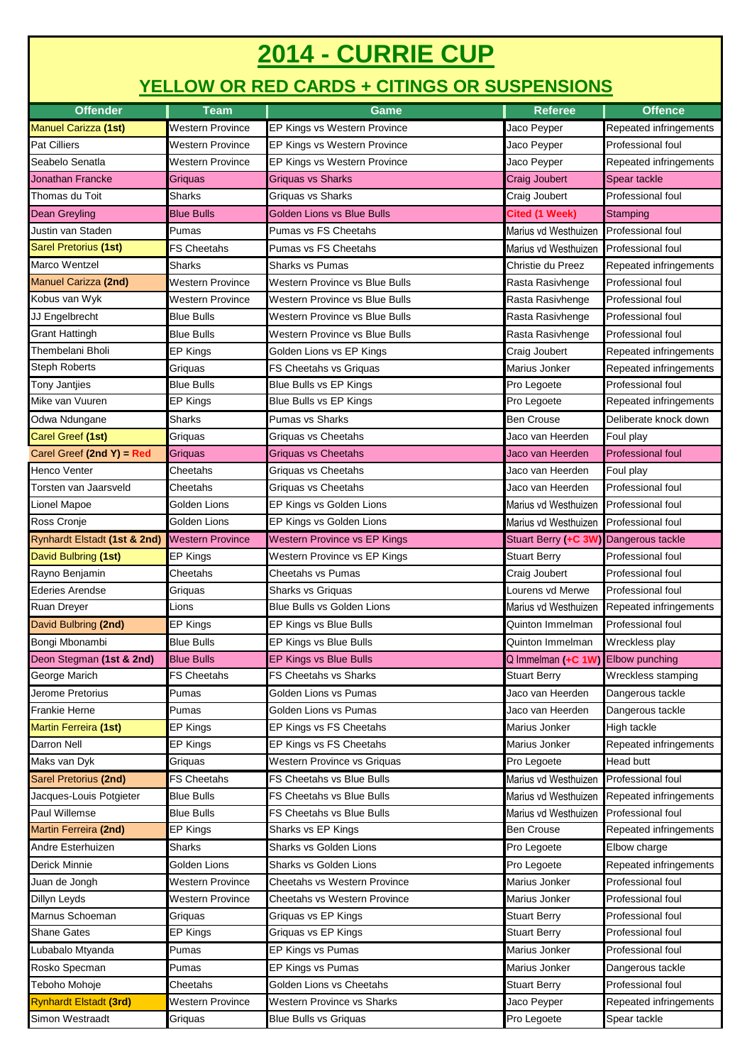## **2014 - CURRIE CUP**

## **YELLOW OR RED CARDS + CITINGS OR SUSPENSIONS**

| <b>Offender</b>               | <b>Team</b>             | Game                              | <b>Referee</b>                        | <b>Offence</b>           |  |
|-------------------------------|-------------------------|-----------------------------------|---------------------------------------|--------------------------|--|
| <b>Manuel Carizza (1st)</b>   | <b>Western Province</b> | EP Kings vs Western Province      | Jaco Peyper                           | Repeated infringements   |  |
| Pat Cilliers                  | <b>Western Province</b> | EP Kings vs Western Province      | Jaco Peyper                           | Professional foul        |  |
| Seabelo Senatla               | Western Province        | EP Kings vs Western Province      | Jaco Peyper                           | Repeated infringements   |  |
| <b>Jonathan Francke</b>       | Griquas                 | <b>Griquas vs Sharks</b>          | Craig Joubert                         | Spear tackle             |  |
| Thomas du Toit                | Sharks                  | Griquas vs Sharks                 | Craig Joubert                         | Professional foul        |  |
| Dean Greyling                 | <b>Blue Bulls</b>       | Golden Lions vs Blue Bulls        | Cited (1 Week)                        | Stamping                 |  |
| Justin van Staden             | Pumas                   | Pumas vs FS Cheetahs              | Marius vd Westhuizen                  | Professional foul        |  |
| Sarel Pretorius (1st)         | <b>FS Cheetahs</b>      | Pumas vs FS Cheetahs              | Marius vd Westhuizen                  | Professional foul        |  |
| Marco Wentzel                 | Sharks                  | <b>Sharks vs Pumas</b>            | Christie du Preez                     | Repeated infringements   |  |
| <b>Manuel Carizza (2nd)</b>   | <b>Western Province</b> | Western Province vs Blue Bulls    | Rasta Rasivhenge                      | Professional foul        |  |
| Kobus van Wyk                 | Western Province        | Western Province vs Blue Bulls    | Rasta Rasivhenge                      | Professional foul        |  |
| JJ Engelbrecht                | <b>Blue Bulls</b>       | Western Province vs Blue Bulls    | Rasta Rasivhenge                      | Professional foul        |  |
| <b>Grant Hattingh</b>         | Blue Bulls              | Western Province vs Blue Bulls    | Rasta Rasivhenge                      | Professional foul        |  |
| Thembelani Bholi              | EP Kings                | Golden Lions vs EP Kings          | Craig Joubert                         | Repeated infringements   |  |
| <b>Steph Roberts</b>          | Griquas                 | FS Cheetahs vs Griquas            | Marius Jonker                         | Repeated infringements   |  |
| <b>Tony Jantjies</b>          | <b>Blue Bulls</b>       | Blue Bulls vs EP Kings            | Pro Legoete                           | Professional foul        |  |
| Mike van Vuuren               | EP Kings                | Blue Bulls vs EP Kings            | Pro Legoete                           | Repeated infringements   |  |
| Odwa Ndungane                 | Sharks                  | <b>Pumas vs Sharks</b>            | <b>Ben Crouse</b>                     | Deliberate knock down    |  |
| Carel Greef (1st)             | Griquas                 | Griquas vs Cheetahs               | Jaco van Heerden                      | Foul play                |  |
| Carel Greef (2nd $Y$ ) = Red  | Griguas                 | <b>Griquas vs Cheetahs</b>        | Jaco van Heerden                      | <b>Professional foul</b> |  |
| <b>Henco Venter</b>           | Cheetahs                | Griquas vs Cheetahs               | Jaco van Heerden                      | Foul play                |  |
| Torsten van Jaarsveld         | Cheetahs                | Griquas vs Cheetahs               | Jaco van Heerden                      | Professional foul        |  |
| Lionel Mapoe                  | Golden Lions            | EP Kings vs Golden Lions          | Marius vd Westhuizen                  | Professional foul        |  |
| Ross Cronje                   | Golden Lions            | EP Kings vs Golden Lions          | Marius vd Westhuizen                  | <b>Professional foul</b> |  |
| Rynhardt Elstadt (1st & 2nd)  | <b>Western Province</b> | Western Province vs EP Kings      | Stuart Berry (+C 3W) Dangerous tackle |                          |  |
| David Bulbring (1st)          | EP Kings                | Western Province vs EP Kings      | <b>Stuart Berry</b>                   | Professional foul        |  |
| Rayno Benjamin                | Cheetahs                | <b>Cheetahs vs Pumas</b>          | Craig Joubert                         | Professional foul        |  |
| <b>Ederies Arendse</b>        | Griquas                 | Sharks vs Griquas                 | Lourens vd Merwe                      | Professional foul        |  |
| Ruan Dreyer                   | Lions                   | Blue Bulls vs Golden Lions        | Marius vd Westhuizen                  | Repeated infringements   |  |
| David Bulbring (2nd)          | EP Kings                | EP Kings vs Blue Bulls            | Quinton Immelman                      | Professional foul        |  |
| Bongi Mbonambi                | <b>Blue Bulls</b>       | EP Kings vs Blue Bulls            | Quinton Immelman                      | Wreckless play           |  |
| Deon Stegman (1st & 2nd)      | <b>Blue Bulls</b>       | <b>EP Kings vs Blue Bulls</b>     | Q Immelman (+C 1W) Elbow punching     |                          |  |
| George Marich                 | <b>FS Cheetahs</b>      | FS Cheetahs vs Sharks             | <b>Stuart Berry</b>                   | Wreckless stamping       |  |
| Jerome Pretorius              | Pumas                   | Golden Lions vs Pumas             | Jaco van Heerden                      | Dangerous tackle         |  |
| <b>Frankie Herne</b>          | Pumas                   | Golden Lions vs Pumas             | Jaco van Heerden                      | Dangerous tackle         |  |
| <b>Martin Ferreira (1st)</b>  | EP Kings                | EP Kings vs FS Cheetahs           | Marius Jonker                         | High tackle              |  |
| Darron Nell                   | EP Kings                | EP Kings vs FS Cheetahs           | Marius Jonker                         | Repeated infringements   |  |
| Maks van Dyk                  | Griquas                 | Western Province vs Griquas       | Pro Legoete                           | Head butt                |  |
| Sarel Pretorius (2nd)         | <b>FS Cheetahs</b>      | <b>FS Cheetahs vs Blue Bulls</b>  | Marius vd Westhuizen                  | Professional foul        |  |
| Jacques-Louis Potgieter       | <b>Blue Bulls</b>       | FS Cheetahs vs Blue Bulls         | Marius vd Westhuizen                  | Repeated infringements   |  |
| Paul Willemse                 | <b>Blue Bulls</b>       | FS Cheetahs vs Blue Bulls         | Marius vd Westhuizen                  | Professional foul        |  |
| Martin Ferreira (2nd)         | EP Kings                | Sharks vs EP Kings                | Ben Crouse                            | Repeated infringements   |  |
| Andre Esterhuizen             | Sharks                  | Sharks vs Golden Lions            | Pro Legoete                           | Elbow charge             |  |
| Derick Minnie                 | Golden Lions            | Sharks vs Golden Lions            | Pro Legoete                           | Repeated infringements   |  |
| Juan de Jongh                 | <b>Western Province</b> | Cheetahs vs Western Province      | Marius Jonker                         | Professional foul        |  |
| Dillyn Leyds                  | <b>Western Province</b> | Cheetahs vs Western Province      | Marius Jonker                         | Professional foul        |  |
| Marnus Schoeman               | Griquas                 | Griquas vs EP Kings               | <b>Stuart Berry</b>                   | Professional foul        |  |
| <b>Shane Gates</b>            | EP Kings                | Griquas vs EP Kings               | <b>Stuart Berry</b>                   | Professional foul        |  |
| Lubabalo Mtyanda              | Pumas                   | EP Kings vs Pumas                 | Marius Jonker                         | Professional foul        |  |
| Rosko Specman                 | Pumas                   | EP Kings vs Pumas                 | Marius Jonker                         | Dangerous tackle         |  |
| Teboho Mohoje                 | Cheetahs                | Golden Lions vs Cheetahs          | <b>Stuart Berry</b>                   | Professional foul        |  |
| <b>Rynhardt Elstadt (3rd)</b> | Western Province        | <b>Western Province vs Sharks</b> | Jaco Peyper                           | Repeated infringements   |  |
| Simon Westraadt               | Griquas                 | <b>Blue Bulls vs Griquas</b>      | Pro Legoete                           | Spear tackle             |  |